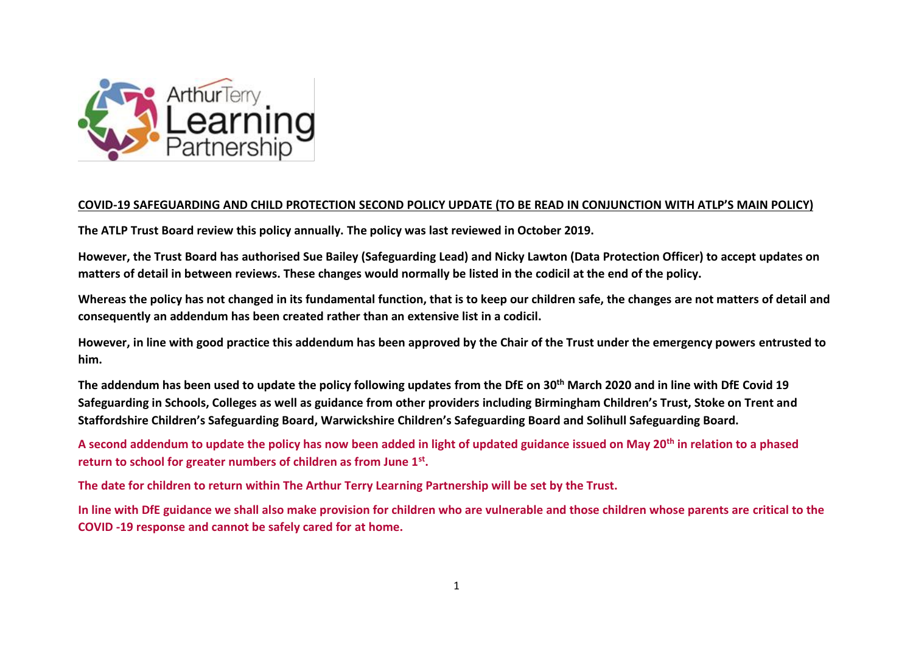

### **COVID-19 SAFEGUARDING AND CHILD PROTECTION SECOND POLICY UPDATE (TO BE READ IN CONJUNCTION WITH ATLP'S MAIN POLICY)**

**The ATLP Trust Board review this policy annually. The policy was last reviewed in October 2019.**

**However, the Trust Board has authorised Sue Bailey (Safeguarding Lead) and Nicky Lawton (Data Protection Officer) to accept updates on matters of detail in between reviews. These changes would normally be listed in the codicil at the end of the policy.**

**Whereas the policy has not changed in its fundamental function, that is to keep our children safe, the changes are not matters of detail and consequently an addendum has been created rather than an extensive list in a codicil.**

**However, in line with good practice this addendum has been approved by the Chair of the Trust under the emergency powers entrusted to him.**

**The addendum has been used to update the policy following updates from the DfE on 30th March 2020 and in line with DfE Covid 19 Safeguarding in Schools, Colleges as well as guidance from other providers including Birmingham Children's Trust, Stoke on Trent and Staffordshire Children's Safeguarding Board, Warwickshire Children's Safeguarding Board and Solihull Safeguarding Board.** 

**A second addendum to update the policy has now been added in light of updated guidance issued on May 20th in relation to a phased return to school for greater numbers of children as from June 1st .**

**The date for children to return within The Arthur Terry Learning Partnership will be set by the Trust.**

**In line with DfE guidance we shall also make provision for children who are vulnerable and those children whose parents are critical to the COVID -19 response and cannot be safely cared for at home.**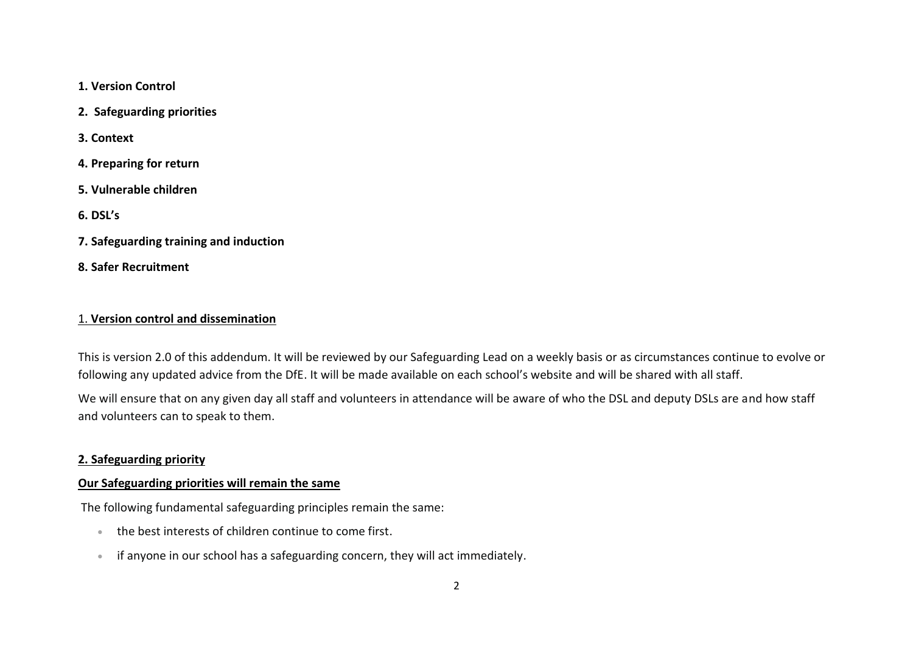**1. Version Control**

**2. Safeguarding priorities**

**3. Context**

- **4. Preparing for return**
- **5. Vulnerable children**

**6. DSL's**

- **7. Safeguarding training and induction**
- **8. Safer Recruitment**

#### 1. **Version control and dissemination**

This is version 2.0 of this addendum. It will be reviewed by our Safeguarding Lead on a weekly basis or as circumstances continue to evolve or following any updated advice from the DfE. It will be made available on each school's website and will be shared with all staff.

We will ensure that on any given day all staff and volunteers in attendance will be aware of who the DSL and deputy DSLs are and how staff and volunteers can to speak to them.

## **2. Safeguarding priority**

#### **Our Safeguarding priorities will remain the same**

The following fundamental safeguarding principles remain the same:

- the best interests of children continue to come first.
- if anyone in our school has a safeguarding concern, they will act immediately.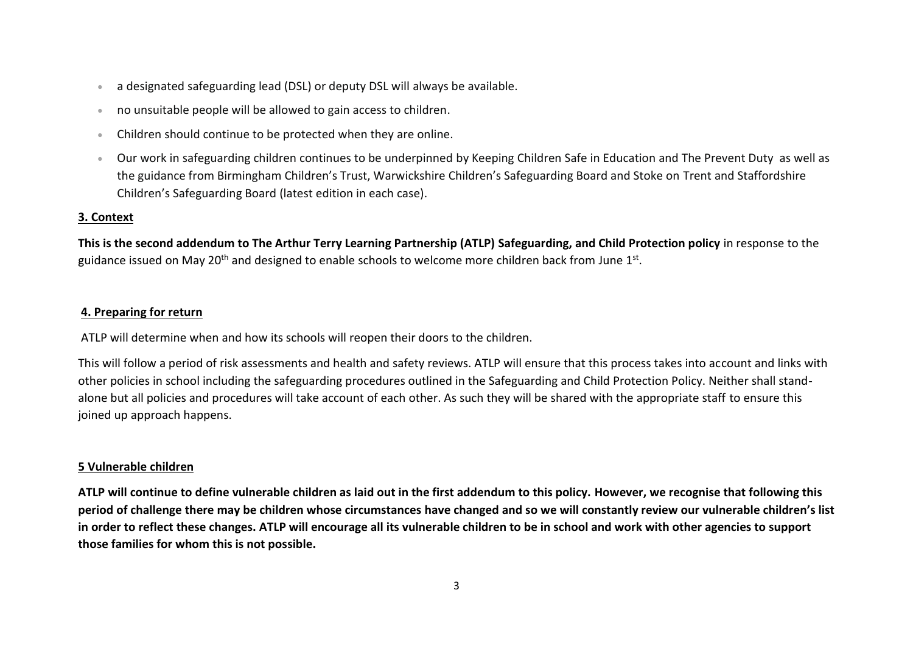- a designated safeguarding lead (DSL) or deputy DSL will always be available.
- no unsuitable people will be allowed to gain access to children.
- Children should continue to be protected when they are online.
- Our work in safeguarding children continues to be underpinned by Keeping Children Safe in Education and The Prevent Duty as well as the guidance from Birmingham Children's Trust, Warwickshire Children's Safeguarding Board and Stoke on Trent and Staffordshire Children's Safeguarding Board (latest edition in each case).

# **3. Context**

**This is the second addendum to The Arthur Terry Learning Partnership (ATLP) Safeguarding, and Child Protection policy** in response to the guidance issued on May 20<sup>th</sup> and designed to enable schools to welcome more children back from June 1st.

# **4. Preparing for return**

ATLP will determine when and how its schools will reopen their doors to the children.

This will follow a period of risk assessments and health and safety reviews. ATLP will ensure that this process takes into account and links with other policies in school including the safeguarding procedures outlined in the Safeguarding and Child Protection Policy. Neither shall standalone but all policies and procedures will take account of each other. As such they will be shared with the appropriate staff to ensure this joined up approach happens.

# **5 Vulnerable children**

**ATLP will continue to define vulnerable children as laid out in the first addendum to this policy. However, we recognise that following this period of challenge there may be children whose circumstances have changed and so we will constantly review our vulnerable children's list in order to reflect these changes. ATLP will encourage all its vulnerable children to be in school and work with other agencies to support those families for whom this is not possible.**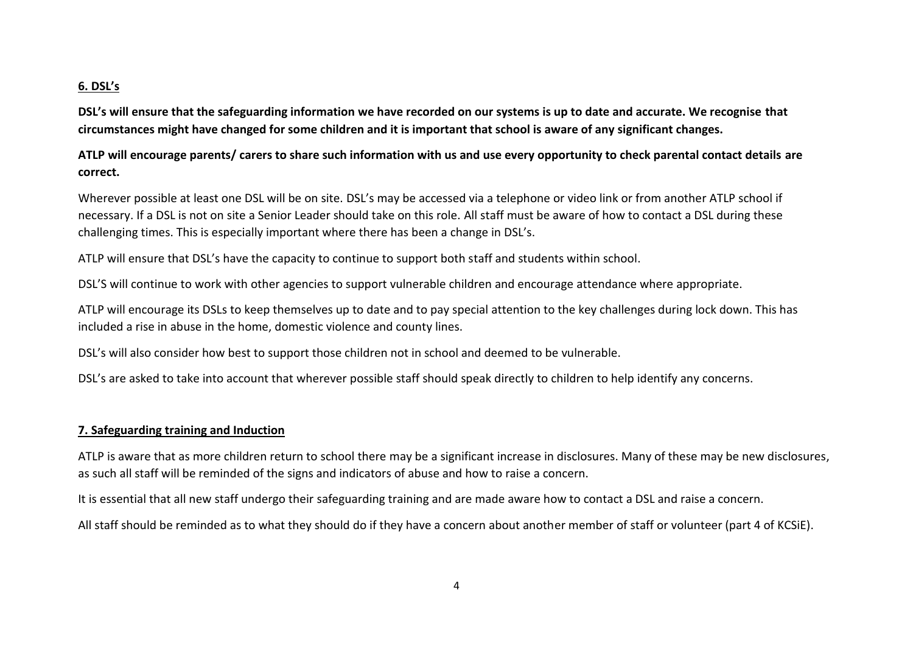## **6. DSL's**

**DSL's will ensure that the safeguarding information we have recorded on our systems is up to date and accurate. We recognise that circumstances might have changed for some children and it is important that school is aware of any significant changes.** 

**ATLP will encourage parents/ carers to share such information with us and use every opportunity to check parental contact details are correct.**

Wherever possible at least one DSL will be on site. DSL's may be accessed via a telephone or video link or from another ATLP school if necessary. If a DSL is not on site a Senior Leader should take on this role. All staff must be aware of how to contact a DSL during these challenging times. This is especially important where there has been a change in DSL's.

ATLP will ensure that DSL's have the capacity to continue to support both staff and students within school.

DSL'S will continue to work with other agencies to support vulnerable children and encourage attendance where appropriate.

ATLP will encourage its DSLs to keep themselves up to date and to pay special attention to the key challenges during lock down. This has included a rise in abuse in the home, domestic violence and county lines.

DSL's will also consider how best to support those children not in school and deemed to be vulnerable.

DSL's are asked to take into account that wherever possible staff should speak directly to children to help identify any concerns.

### **7. Safeguarding training and Induction**

ATLP is aware that as more children return to school there may be a significant increase in disclosures. Many of these may be new disclosures, as such all staff will be reminded of the signs and indicators of abuse and how to raise a concern.

It is essential that all new staff undergo their safeguarding training and are made aware how to contact a DSL and raise a concern.

All staff should be reminded as to what they should do if they have a concern about another member of staff or volunteer (part 4 of KCSiE).